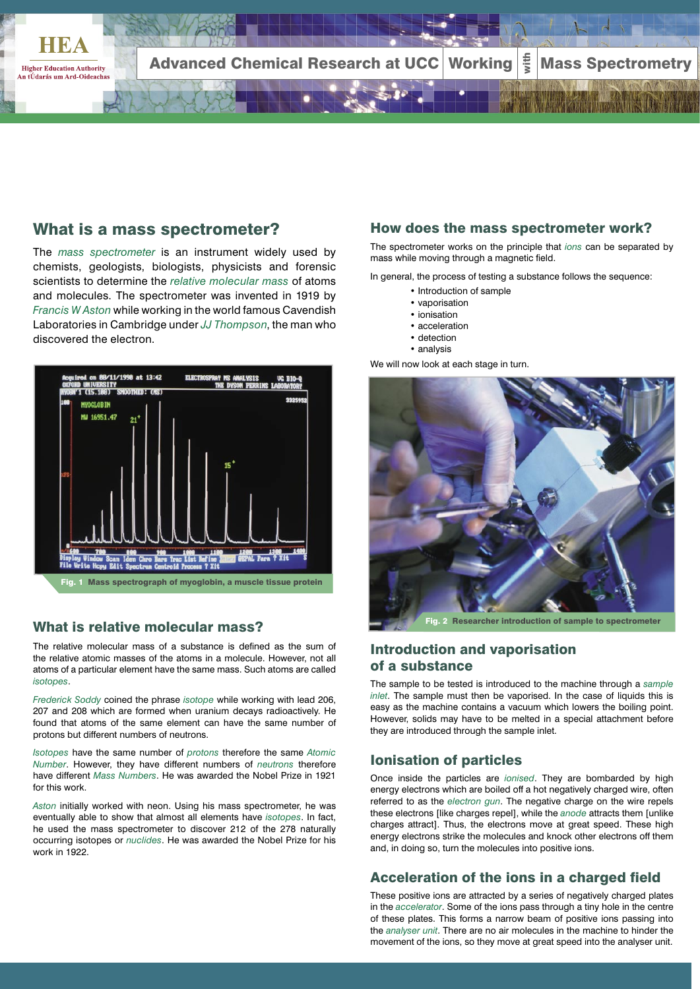

#### • analysis What is a mass spectrometer?

The *mass spectrometer* is an instrument widely used by chemists, geologists, biologists, physicists and forensic scientists to determine the *relative molecular mass* of atoms and molecules. The spectrometer was invented in 1919 by *Francis W Aston* while working in the world famous Cavendish Laboratories in Cambridge under *JJ Thompson*, the man who discovered the electron.



### What is relative molecular mass?

The relative molecular mass of a substance is defined as the sum of the relative atomic masses of the atoms in a molecule. However, not all atoms of a particular element have the same mass. Such atoms are called *isotopes*.

*Frederick Soddy* coined the phrase *isotope* while working with lead 206, 207 and 208 which are formed when uranium decays radioactively. He found that atoms of the same element can have the same number of protons but different numbers of neutrons.

*Isotopes* have the same number of *protons* therefore the same *Atomic Number*. However, they have different numbers of *neutrons* therefore have different *Mass Numbers*. He was awarded the Nobel Prize in 1921 for this work.

*Aston* initially worked with neon. Using his mass spectrometer, he was eventually able to show that almost all elements have *isotopes*. In fact, he used the mass spectrometer to discover 212 of the 278 naturally occurring isotopes or *nuclides*. He was awarded the Nobel Prize for his work in 1922.

# How does the mass spectrometer work?

The spectrometer works on the principle that *ions* can be separated by mo operating the single principle that it mass while moving through a magnetic field. The detector is very sensitive, and the signal is amplified electronically

In general, the process of testing a substance follows the sequence:

- Introduction of sample
	- Interpretation of data or spectrograph • vaporisation
	- ionisation
	- $\mathbf{I}$ calculating its fraction of the total abundance. This is called the *relative*  • acceleration
	- detection • analysis

We will now look at each stage in turn.



move at great speed into the ions, so the ions, so they move at great speed into the analyser unit. Fig. 2 Researcher introduction of sample to spectrometer

#### Introduction and vaporisation of a substance

The sample to be tested is introduced to the machine through a *sample inlet*. The sample must then be vaporised. In the case of liquids this is easy as the machine contains a vacuum which lowers the boiling point. However, solids may have to be melted in a special attachment before they are introduced through the sample inlet.

#### Ionisation of particles

Once inside the particles are *ionised*. They are bombarded by high energy electrons which are boiled off a hot negatively charged wire, often referred to as the *electron gun*. The negative charge on the wire repels these electrons [like charges repel], while the *anode* attracts them [unlike charges attract]. Thus, the electrons move at great speed. These high energy electrons strike the molecules and knock other electrons off them and, in doing so, turn the molecules into positive ions.

#### Acceleration of the ions in a charged field

These positive ions are attracted by a series of negatively charged plates in the *accelerator*. Some of the ions pass through a tiny hole in the centre of these plates. This forms a narrow beam of positive ions passing into the *analyser unit*. There are no air molecules in the machine to hinder the movement of the ions, so they move at great speed into the analyser unit.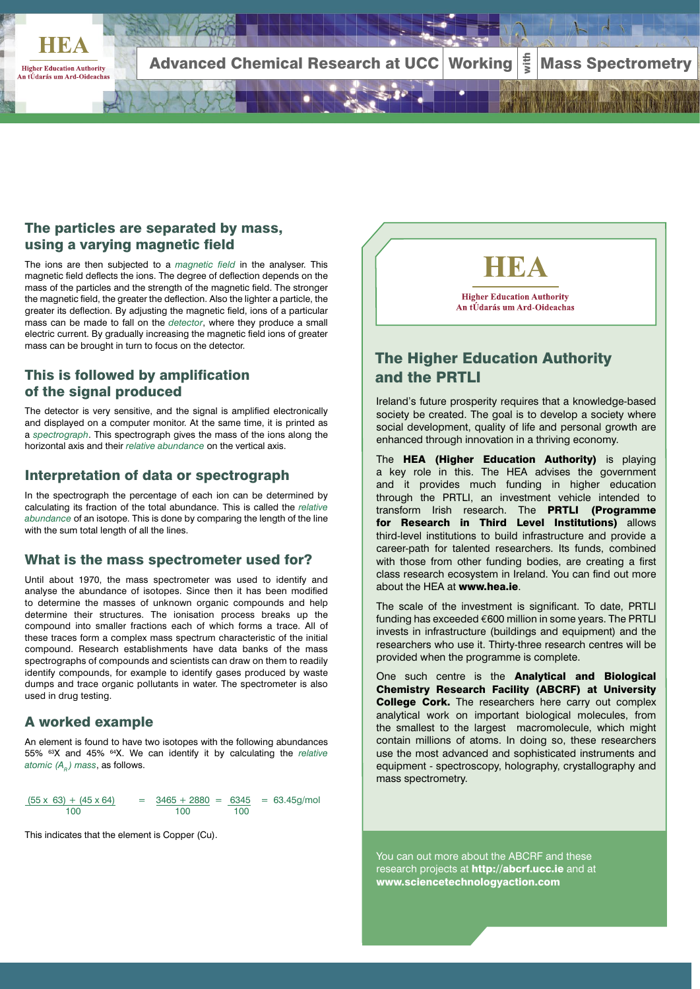

#### $\mathbf{r}$ The particles are separated by mass, using a varying magnetic field

The ions are then subjected to a *magnetic field* in the analyser. This magnetic field deflects the ions. The degree of deflection depends on the mass of the particles and the strength of the magnetic field. The stronger the magnetic field, the greater the deflection. Also the lighter a particle, the greater its deflection. By adjusting the magnetic field, ions of a particular mass can be made to fall on the *detector*, where they produce a small electric current. By gradually increasing the magnetic field ions of greater mass can be brought in turn to focus on the detector.

# This is followed by amplification of the signal produced

The detector is very sensitive, and the signal is amplified electronically The relative molecular mass of a substance is defined as the sum of Introduction and vaporisation and displayed on a computer monitor. At the same time, it is printed as a spectrograph. This spectrograph gives the mass of the ions along the horizontal axis and their *relative abundance* on the vertical axis.

# Interpretation of data or spectrograph **the same in the same in**

In the spectrograph the percentage of each ion can be determined by calculating its fraction of the total abundance. This is called the relative abundance of an isotope. This is done by comparing the length of the line **the personical of the personical of the personical of the personical of the personical of the personical of the personical of the personical of the** with the sum total length of all the lines.

# What is the mass spectrometer used for?

Until about 1970, the mass spectrometer was used to identify and **Class resear** analyse the abundance of isotopes. Since then it has been modified  $\blacksquare$ the interactive correct plates. The interaction into the interactions of the second the centre interactions of t<br>to determine the masses of unknown organic compounds and help The scale of the determine their structures. The ionisation process breaks up the **the mathematical to hinder of the mathematic** compound into smaller fractions each of which forms a trace. All of these traces form a complex mass spectrum characteristic of the initial compound. Research establishments have data banks of the mass spectrographs of compounds and scientists can draw on them to readily identify compounds, for example to identify gases produced by waste dumps and trace organic pollutants in water. The spectrometer is also used in drug testing.

#### A worked example

An element is found to have two isotopes with the following abundances 55% 63X and 45% 64X. We can identify it by calculating the *relative atomic*  $(A_n)$  *mass*, as follows.

 $(55 \times 63) + (45 \times 64)$  = 3465 + 2880 = 6345 = 63.45g/mol 100 100 100

This indicates that the element is Copper (Cu).

of the signal produced The detector is very sensitive, and the signal is a signal is a signal is a signal is a signal is a signal is and displayed on a computer monitor. At the same time, it is printed as  $\mathbf{r}$ a *spectrograph*. This spectrograph gives the mass of the ions along the

mass can be brought in turn to focus on the detector. This is followed by a followed by a followed by a followed by a followed by a followed by a followed by a followed by a followed by a followed by a followed by a followed by a followed by a followed by a followed by a foll

In the spectrograph the percentage of each ion can be determined by calculating its fraction of the total abundance. This is called the *relative abundance* of an isotope. This is done by comparing the length of the line

**Higher Education Authority** An tÚdarás um Ard-Oideachas

#### The Higher Education Authority Until about 1970, the mass spectrometer was used to identify and analyse the abundance of isotopes. Since the abundance of isotopes. Since the interaction  $\mathcal{L}$ and the PRTLI

Ireland's future prosperity requires that a knowledge-based society be created. The goal is to develop a society where  $\vert$ social development, quality of life and personal growth are enhanced through innovation in a thriving economy. dumps and trace organic pollutants in water. The spectrometer is also

The HEA (Higher Education Authority) is playing **A worked EX A wave in this.** The HEA advises the government and it provides much funding in higher education through the PRTLI, an investment vehicle intended to fine length of the line **on the search in Third Level Institutions)** allows third-level institutions to build infrastructure and provide a career-path for talented researchers. Its funds, combined is called the *relative*  $\parallel$  transform Irish research. The **PRTLI (Programme** with those from other funding bodies, are creating a first class research ecosystem in Ireland. You can find out more about the HEA at www.hea.ie.

 $f_{\text{source}}$  is the integration into the funding has exceeded  $\epsilon$ 600 million in some years. The PRTLI The scale of the investment is significant. To date, PRTLI invests in infrastructure (buildings and equipment) and the researchers who use it. Thirty-three research centres will be provided when the programme is complete.

> One such centre is the Analytical and Biological Chemistry Research Facility (ABCRF) at University College Cork. The researchers here carry out complex analytical work on important biological molecules, from the smallest to the largest macromolecule, which might contain millions of atoms. In doing so, these researchers use the most advanced and sophisticated instruments and equipment - spectroscopy, holography, crystallography and mass spectrometry.

You can out more about the ABCRF and these search projects at **http://abcrf.ucc.ie** and at www.sciencetechnologyaction.com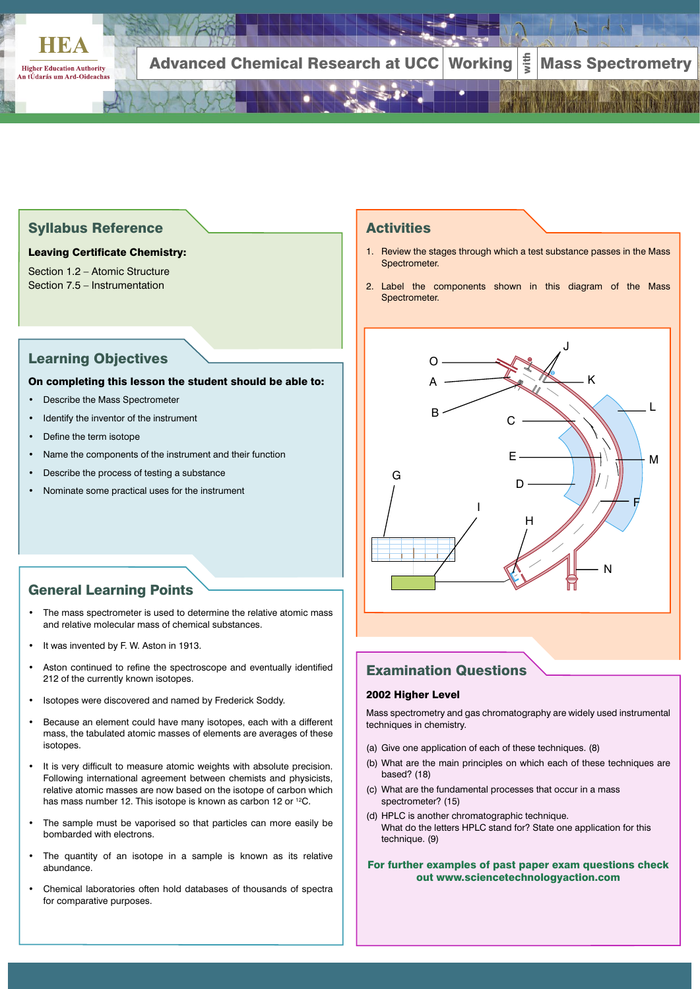

Advanced Chemical Research at UCC Working  $\frac{1}{2}$  Mass Spectrometry

#### discovered the electronic Syllabus Reference

#### Leaving Certificate Chemistry:

Laboratories in Cambridge under *JJ Thompson*, the man who

Section 1.2 – Atomic Structure Section 7.5 – Instrumentation

#### Learning Objectives

#### On completing this lesson the student should be able to:

- Describe the Mass Spectrometer
- What is relative model in the control of  $\parallel$  • Identify the inventor of the instrument
- Define the term isotope

protons but different numbers of neutrons.

for this work.

- *isotopes*. *Frederick Soddy* coined the phrase *isotope* while working with lead 206, • Name the components of the instrument and their function
- Describe the process of testing a substance

*Number*. However, they have different numbers of *neutrons* therefore have different *Mass Numbers*. He was awarded the Nobel Prize in 1921

*Aston* initially worked with neon. Using his mass spectrometer, he was eventually able to show that almost all elements have *isotopes*. In fact, he used the mass spectrometer to discover 212 naturally spectrometer 212 naturally spectrometer 218 naturally occurring isotopes or *nuclides*. He was awarded the Nobel Prize for his

**P** • Nominate some practical uses for the instrument

### General Learning Points

- the *analyser unit*. There are no air molecules in the machine to hinder the The mass spectrometer is used to determine the relative atomic mass movement of the ions, so they move at great speed into the analyser unit. and relative molecular mass of chemical substances.
- It was invented by F. W. Aston in 1913.
- Aston continued to refine the spectroscope and eventually identified 212 of the currently known isotopes.
- Isotopes were discovered and named by Frederick Soddy.
- Because an element could have many isotopes, each with a different mass, the tabulated atomic masses of elements are averages of these isotopes.
- It is very difficult to measure atomic weights with absolute precision. Following international agreement between chemists and physicists, relative atomic masses are now based on the isotope of carbon which has mass number 12. This isotope is known as carbon 12 or <sup>12</sup>C.
- The sample must be vaporised so that particles can more easily be bombarded with electrons.
- The quantity of an isotope in a sample is known as its relative abundance.
- Chemical laboratories often hold databases of thousands of spectra for comparative purposes.

## **Activities**

We will now look at each stage in turn.

1. Review the stages through which a test substance passes in the Mass Spectrometer.

mass can be brought in turn to focus on the detector.

mass can be made to fall on the *detector*, where they produce a small electric current. By gradually increasing the magnetic field ions of gradually increasing the magnetic field ions of greater

Advanced Chemical Research at UCC Working Mass Spectrometry with

2. Label the components shown in this diagram of the Mass Spectrometer.



### Examination Questions

#### 2002 Higher Level

Mass spectrometry and gas chromatography are widely used instrumental techniques in chemistry.

- (a) Give one application of each of these techniques. (8)
- (b) What are the main principles on which each of these techniques are based? (18)
- (c) What are the fundamental processes that occur in a mass spectrometer? (15)
- (d) HPLC is another chromatographic technique. What do the letters HPLC stand for? State one application for this technique. (9)
- For further examples of past paper exam questions check out www.sciencetechnologyaction.com